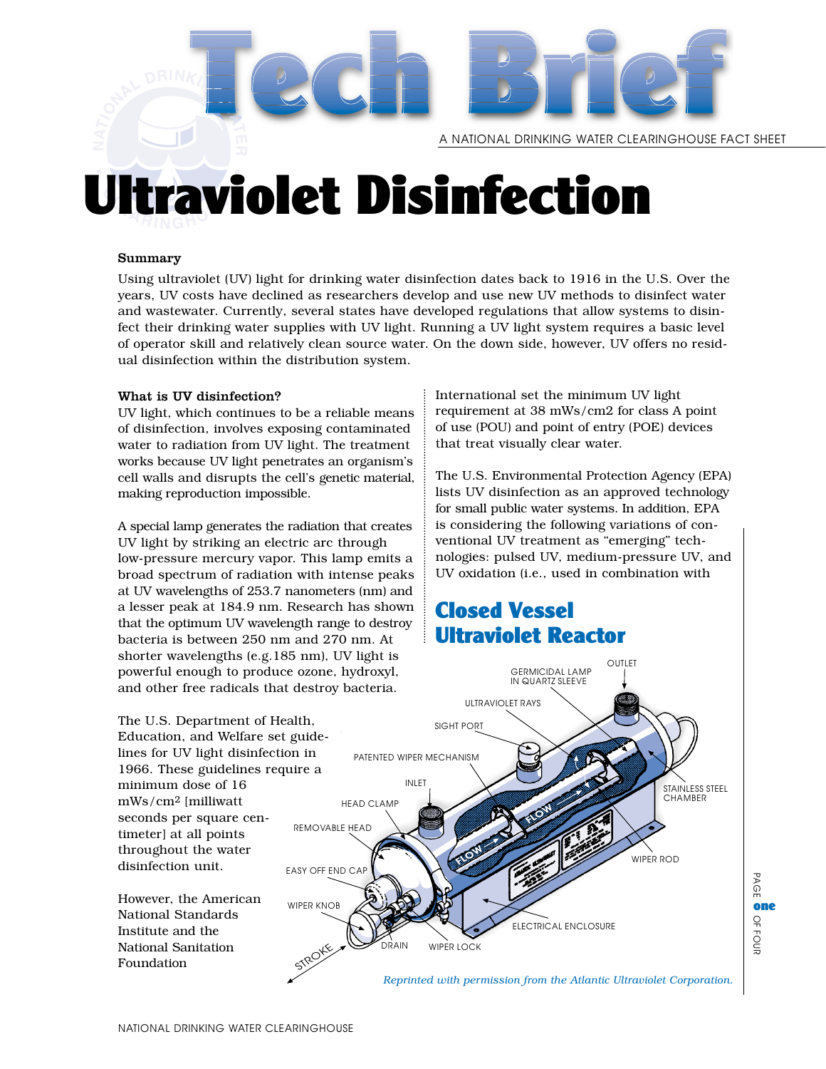A NATIONAL DRINKING WATER CLEARINGHOUSE FACT SHEET

# Ultraviolet Disinfection

#### Summary

Using ultraviolet (UV) light for drinking water disinfection dates back to 1916 in the U.S. Over the years, UV costs have declined as researchers develop and use new UV methods to disinfect water and wastewater. Currently, several states have developed regulations that allow systems to disinfect their drinking water supplies with UV light. Running a UV light system requires a basic level of operator skill and relatively clean source water. On the down side, however, UV offers no residual disinfection within the distribution system.

#### What is UV disinfection?

UV light, which continues to be a reliable means of disinfection, involves exposing contaminated water to radiation from UV light. The treatment works because UV light penetrates an organism's cell walls and disrupts the cell's genetic material, making reproduction impossible.

A special lamp generates the radiation that creates UV light by striking an electric arc through low-pressure mercury vapor. This lamp emits a broad spectrum of radiation with intense peaks at UV wavelengths of 253.7 nanometers (nm) and a lesser peak at 184.9 nm. Research has shown that the optimum UV wavelength range to destroy bacteria is between 250 nm and 270 nm. At shorter wavelengths (e.g.185 nm), UV light is powerful enough to produce ozone, hydroxyl, and other free radicals that destroy bacteria.

International set the minimum UV light requirement at 38 mWs/cm2 for class A point of use (POU) and point of entry (POE) devices that treat visually clear water.

The U.S. Environmental Protection Agency (EPA) lists UV disinfection as an approved technology for small public water systems. In addition, EPA is considering the following variations of conventional UV treatment as "emerging" technologies: pulsed UV, medium-pressure UV, and UV oxidation (i.e., used in combination with

OUTLET

## Closed Vessel Ultraviolet Reactor

GERMICIDAL LAMP **IN QUARTZ SLEEVE** 



NATIONAL DRINKING WATER CLEARINGHOUSE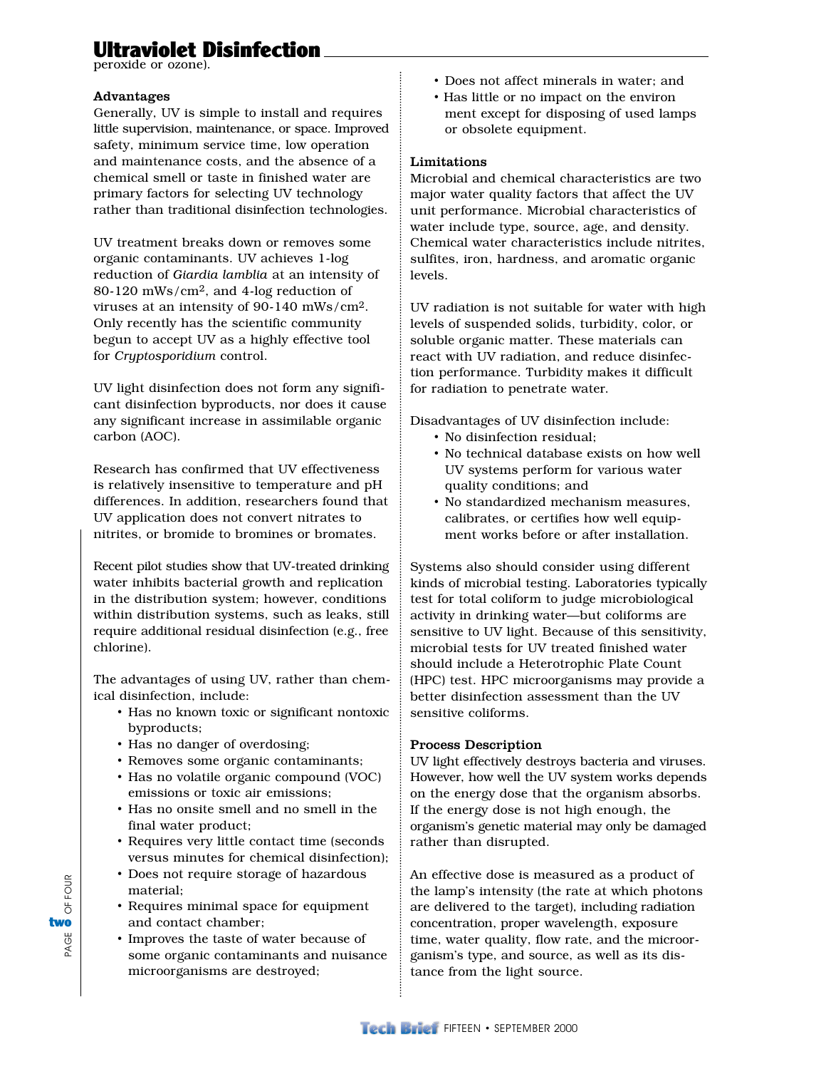## Ultraviolet Disinfection

peroxide or ozone).

#### Advantages

Generally, UV is simple to install and requires little supervision, maintenance, or space. Improved safety, minimum service time, low operation and maintenance costs, and the absence of a chemical smell or taste in finished water are primary factors for selecting UV technology rather than traditional disinfection technologies.

UV treatment breaks down or removes some organic contaminants. UV achieves 1-log reduction of *Giardia lamblia* at an intensity of 80-120 mWs/cm2, and 4-log reduction of viruses at an intensity of 90-140 mWs/cm2. Only recently has the scientific community begun to accept UV as a highly effective tool for *Cryptosporidium* control.

UV light disinfection does not form any significant disinfection byproducts, nor does it cause any significant increase in assimilable organic carbon (AOC).

Research has confirmed that UV effectiveness is relatively insensitive to temperature and pH differences. In addition, researchers found that UV application does not convert nitrates to nitrites, or bromide to bromines or bromates.

Recent pilot studies show that UV-treated drinking water inhibits bacterial growth and replication in the distribution system; however, conditions within distribution systems, such as leaks, still require additional residual disinfection (e.g., free chlorine).

The advantages of using UV, rather than chemical disinfection, include:

- Has no known toxic or significant nontoxic byproducts;
- Has no danger of overdosing;
- Removes some organic contaminants;
- Has no volatile organic compound (VOC) emissions or toxic air emissions;
- Has no onsite smell and no smell in the final water product;
- Requires very little contact time (seconds versus minutes for chemical disinfection);
- Does not require storage of hazardous material;
- Requires minimal space for equipment and contact chamber;

PAGE OF FOUR

PAGE

two<br>Co<sup>p</sup>

• Improves the taste of water because of some organic contaminants and nuisance microorganisms are destroyed;

- Does not affect minerals in water; and
- Has little or no impact on the environ ment except for disposing of used lamps or obsolete equipment.

#### Limitations

Microbial and chemical characteristics are two major water quality factors that affect the UV unit performance. Microbial characteristics of water include type, source, age, and density. Chemical water characteristics include nitrites, sulfites, iron, hardness, and aromatic organic levels.

UV radiation is not suitable for water with high levels of suspended solids, turbidity, color, or soluble organic matter. These materials can react with UV radiation, and reduce disinfection performance. Turbidity makes it difficult for radiation to penetrate water.

Disadvantages of UV disinfection include:

- No disinfection residual;
- No technical database exists on how well UV systems perform for various water quality conditions; and
- No standardized mechanism measures, calibrates, or certifies how well equipment works before or after installation.

Systems also should consider using different kinds of microbial testing. Laboratories typically test for total coliform to judge microbiological activity in drinking water—but coliforms are sensitive to UV light. Because of this sensitivity, microbial tests for UV treated finished water should include a Heterotrophic Plate Count (HPC) test. HPC microorganisms may provide a better disinfection assessment than the UV sensitive coliforms.

#### Process Description

UV light effectively destroys bacteria and viruses. However, how well the UV system works depends on the energy dose that the organism absorbs. If the energy dose is not high enough, the organism's genetic material may only be damaged rather than disrupted.

An effective dose is measured as a product of the lamp's intensity (the rate at which photons are delivered to the target), including radiation concentration, proper wavelength, exposure time, water quality, flow rate, and the microorganism's type, and source, as well as its distance from the light source.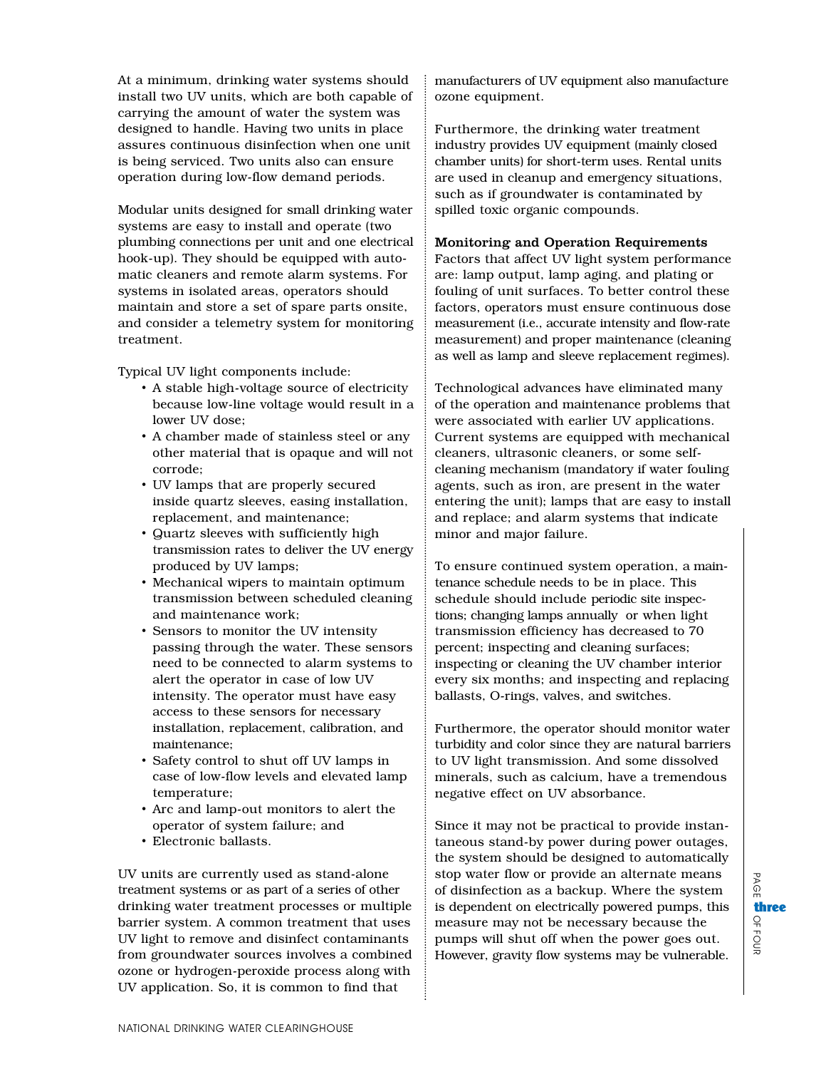At a minimum, drinking water systems should install two UV units, which are both capable of carrying the amount of water the system was designed to handle. Having two units in place assures continuous disinfection when one unit is being serviced. Two units also can ensure operation during low-flow demand periods.

Modular units designed for small drinking water systems are easy to install and operate (two plumbing connections per unit and one electrical hook-up). They should be equipped with automatic cleaners and remote alarm systems. For systems in isolated areas, operators should maintain and store a set of spare parts onsite, and consider a telemetry system for monitoring treatment.

Typical UV light components include:

- A stable high-voltage source of electricity because low-line voltage would result in a lower UV dose;
- A chamber made of stainless steel or any other material that is opaque and will not corrode;
- UV lamps that are properly secured inside quartz sleeves, easing installation, replacement, and maintenance;
- Quartz sleeves with sufficiently high transmission rates to deliver the UV energy produced by UV lamps;
- Mechanical wipers to maintain optimum transmission between scheduled cleaning and maintenance work;
- Sensors to monitor the UV intensity passing through the water. These sensors need to be connected to alarm systems to alert the operator in case of low UV intensity. The operator must have easy access to these sensors for necessary installation, replacement, calibration, and maintenance;
- Safety control to shut off UV lamps in case of low-flow levels and elevated lamp temperature;
- Arc and lamp-out monitors to alert the operator of system failure; and
- Electronic ballasts.

UV units are currently used as stand-alone treatment systems or as part of a series of other drinking water treatment processes or multiple barrier system. A common treatment that uses UV light to remove and disinfect contaminants from groundwater sources involves a combined ozone or hydrogen-peroxide process along with UV application. So, it is common to find that

manufacturers of UV equipment also manufacture ozone equipment.

Furthermore, the drinking water treatment industry provides UV equipment (mainly closed chamber units) for short-term uses. Rental units are used in cleanup and emergency situations, such as if groundwater is contaminated by spilled toxic organic compounds.

#### Monitoring and Operation Requirements

Factors that affect UV light system performance are: lamp output, lamp aging, and plating or fouling of unit surfaces. To better control these factors, operators must ensure continuous dose measurement (i.e., accurate intensity and flow-rate measurement) and proper maintenance (cleaning as well as lamp and sleeve replacement regimes).

Technological advances have eliminated many of the operation and maintenance problems that were associated with earlier UV applications. Current systems are equipped with mechanical cleaners, ultrasonic cleaners, or some selfcleaning mechanism (mandatory if water fouling agents, such as iron, are present in the water entering the unit); lamps that are easy to install and replace; and alarm systems that indicate minor and major failure.

To ensure continued system operation, a maintenance schedule needs to be in place. This schedule should include periodic site inspections; changing lamps annually or when light transmission efficiency has decreased to 70 percent; inspecting and cleaning surfaces; inspecting or cleaning the UV chamber interior every six months; and inspecting and replacing ballasts, O-rings, valves, and switches.

Furthermore, the operator should monitor water turbidity and color since they are natural barriers to UV light transmission. And some dissolved minerals, such as calcium, have a tremendous negative effect on UV absorbance.

Since it may not be practical to provide instantaneous stand-by power during power outages, the system should be designed to automatically stop water flow or provide an alternate means of disinfection as a backup. Where the system is dependent on electrically powered pumps, this measure may not be necessary because the pumps will shut off when the power goes out. However, gravity flow systems may be vulnerable.